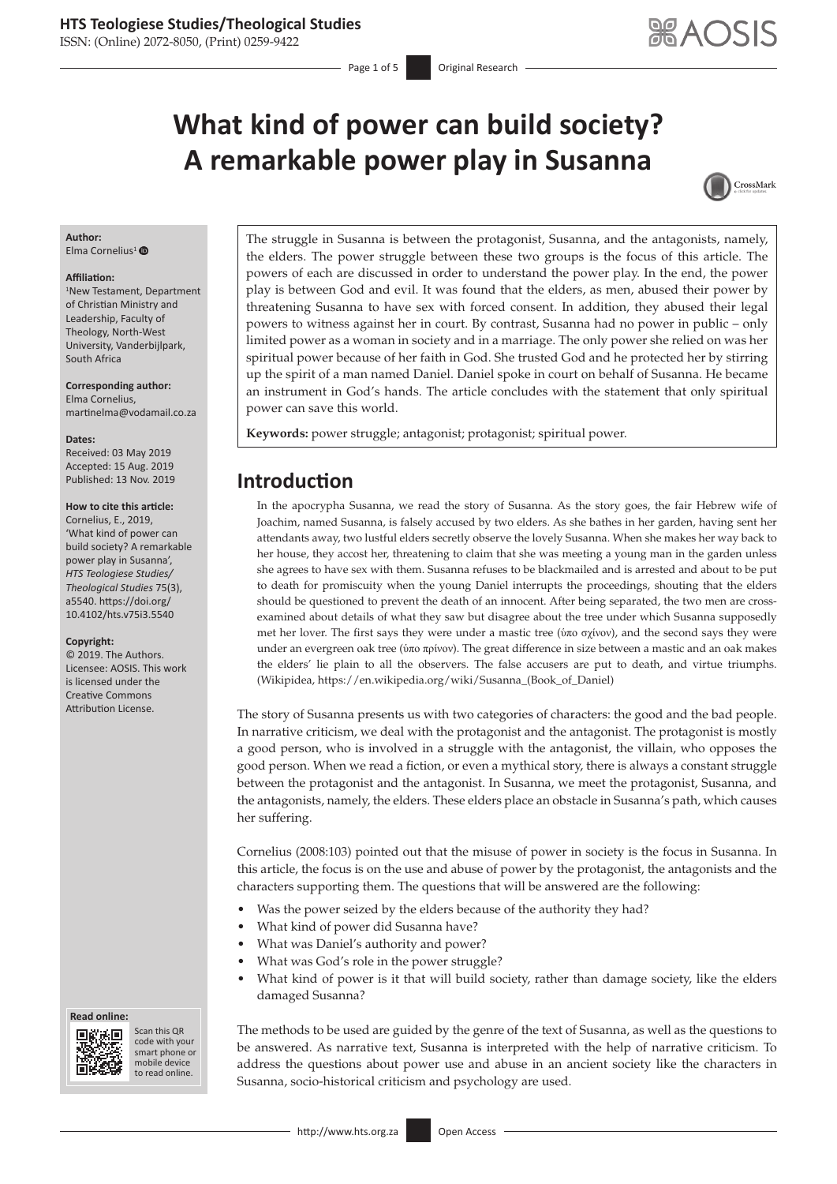ISSN: (Online) 2072-8050, (Print) 0259-9422

# **What kind of power can build society? A remarkable power play in Susanna**



### **Author:**

Elma Cornelius<sup>[1](https://orcid.org/0000-0001-5420-0647)</sup> $\bullet$ 

#### **Affiliation:**

1 New Testament, Department of Christian Ministry and Leadership, Faculty of Theology, North-West University, Vanderbijlpark, South Africa

**Corresponding author:** Elma Cornelius, [martinelma@vodamail.co.za](mailto:martinelma@vodamail.co.za)

#### **Dates:**

Received: 03 May 2019 Accepted: 15 Aug. 2019 Published: 13 Nov. 2019

#### **How to cite this article:**

Cornelius, E., 2019, 'What kind of power can build society? A remarkable power play in Susanna', *HTS Teologiese Studies/ Theological Studies* 75(3), a5540. [https://doi.org/](https://doi.org/10.4102/hts.v75i3.5540) [10.4102/hts.v75i3.5540](https://doi.org/10.4102/hts.v75i3.5540)

#### **Copyright:**

© 2019. The Authors. Licensee: AOSIS. This work is licensed under the Creative Commons Attribution License.

#### **Read online: Read online:**



Scan this QR code with your Scan this QR<br>code with your<br>smart phone or<br>mobile device mobile device to read online. to read online.

The struggle in Susanna is between the protagonist, Susanna, and the antagonists, namely, the elders. The power struggle between these two groups is the focus of this article. The powers of each are discussed in order to understand the power play. In the end, the power play is between God and evil. It was found that the elders, as men, abused their power by threatening Susanna to have sex with forced consent. In addition, they abused their legal powers to witness against her in court. By contrast, Susanna had no power in public – only limited power as a woman in society and in a marriage. The only power she relied on was her spiritual power because of her faith in God. She trusted God and he protected her by stirring up the spirit of a man named Daniel. Daniel spoke in court on behalf of Susanna. He became an instrument in God's hands. The article concludes with the statement that only spiritual power can save this world.

**Keywords:** power struggle; antagonist; protagonist; spiritual power.

## **Introduction**

In the apocrypha Susanna, we read the story of Susanna. As the story goes, the fair Hebrew wife of Joachim, named Susanna, is falsely accused by two elders. As she bathes in her garden, having sent her attendants away, two lustful elders secretly observe the lovely Susanna. When she makes her way back to her house, they accost her, threatening to claim that she was meeting a young man in the garden unless she agrees to have sex with them. Susanna refuses to be blackmailed and is arrested and about to be put to death for promiscuity when the young Daniel interrupts the proceedings, shouting that the elders should be questioned to prevent the death of an innocent. After being separated, the two men are crossexamined about details of what they saw but disagree about the tree under which Susanna supposedly met her lover. The first says they were under a mastic tree (ὑπο σχίνον), and the second says they were under an evergreen oak tree (ὑπο πρίνον). The great difference in size between a mastic and an oak makes the elders' lie plain to all the observers. The false accusers are put to death, and virtue triumphs. (Wikipidea, [https://en.wikipedia.org/wiki/Susanna\\_\(Book\\_of\\_Daniel](https://en.wikipedia.org/wiki/Susanna_(Book_of_Daniel))

The story of Susanna presents us with two categories of characters: the good and the bad people. In narrative criticism, we deal with the protagonist and the antagonist. The protagonist is mostly a good person, who is involved in a struggle with the antagonist, the villain, who opposes the good person. When we read a fiction, or even a mythical story, there is always a constant struggle between the protagonist and the antagonist. In Susanna, we meet the protagonist, Susanna, and the antagonists, namely, the elders. These elders place an obstacle in Susanna's path, which causes her suffering.

Cornelius (2008:103) pointed out that the misuse of power in society is the focus in Susanna. In this article, the focus is on the use and abuse of power by the protagonist, the antagonists and the characters supporting them. The questions that will be answered are the following:

- Was the power seized by the elders because of the authority they had?
- What kind of power did Susanna have?
- What was Daniel's authority and power?
- What was God's role in the power struggle?
- What kind of power is it that will build society, rather than damage society, like the elders damaged Susanna?

The methods to be used are guided by the genre of the text of Susanna, as well as the questions to be answered. As narrative text, Susanna is interpreted with the help of narrative criticism. To address the questions about power use and abuse in an ancient society like the characters in Susanna, socio-historical criticism and psychology are used.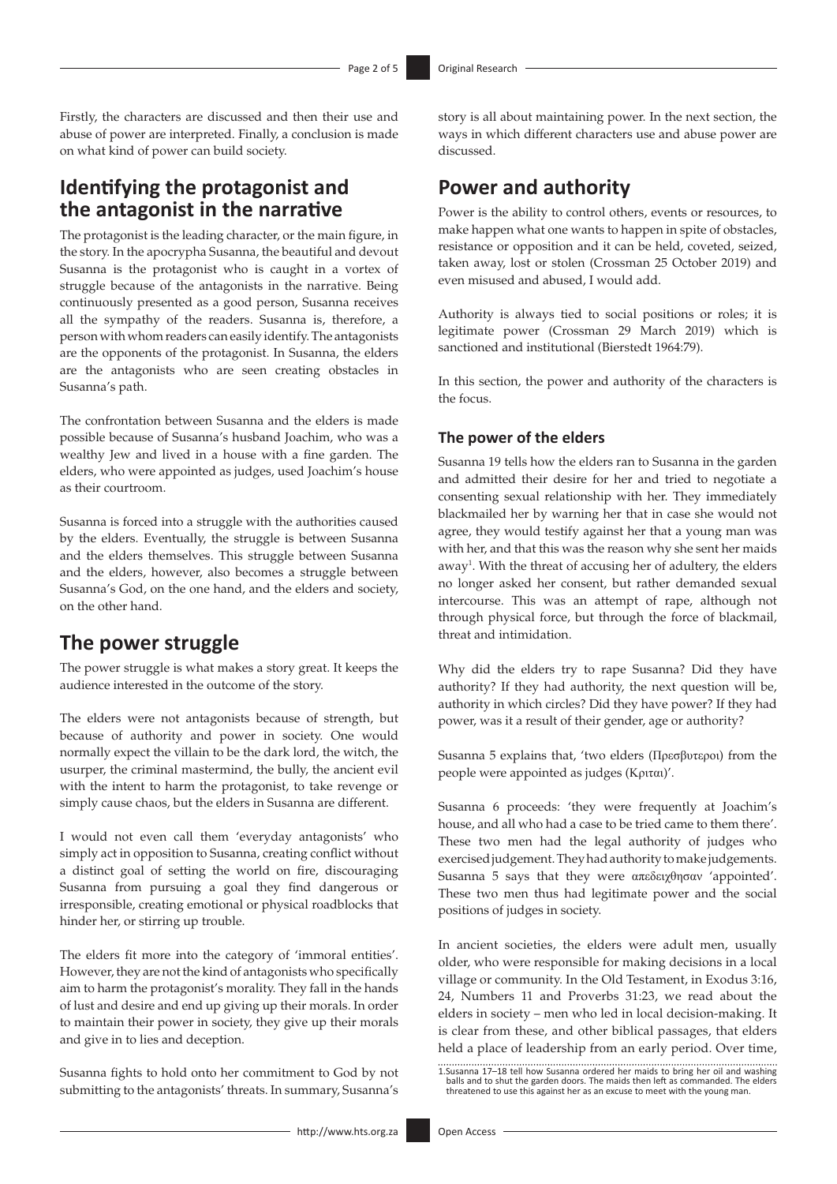Firstly, the characters are discussed and then their use and abuse of power are interpreted. Finally, a conclusion is made on what kind of power can build society.

## **Identifying the protagonist and the antagonist in the narrative**

The protagonist is the leading character, or the main figure, in the story. In the apocrypha Susanna, the beautiful and devout Susanna is the protagonist who is caught in a vortex of struggle because of the antagonists in the narrative. Being continuously presented as a good person, Susanna receives all the sympathy of the readers. Susanna is, therefore, a person with whom readers can easily identify. The antagonists are the opponents of the protagonist. In Susanna, the elders are the antagonists who are seen creating obstacles in Susanna's path.

The confrontation between Susanna and the elders is made possible because of Susanna's husband Joachim, who was a wealthy Jew and lived in a house with a fine garden. The elders, who were appointed as judges, used Joachim's house as their courtroom.

Susanna is forced into a struggle with the authorities caused by the elders. Eventually, the struggle is between Susanna and the elders themselves. This struggle between Susanna and the elders, however, also becomes a struggle between Susanna's God, on the one hand, and the elders and society, on the other hand.

## **The power struggle**

The power struggle is what makes a story great. It keeps the audience interested in the outcome of the story.

The elders were not antagonists because of strength, but because of authority and power in society. One would normally expect the villain to be the dark lord, the witch, the usurper, the criminal mastermind, the bully, the ancient evil with the intent to harm the protagonist, to take revenge or simply cause chaos, but the elders in Susanna are different.

I would not even call them 'everyday antagonists' who simply act in opposition to Susanna, creating conflict without a distinct goal of setting the world on fire, discouraging Susanna from pursuing a goal they find dangerous or irresponsible, creating emotional or physical roadblocks that hinder her, or stirring up trouble.

The elders fit more into the category of 'immoral entities'. However, they are not the kind of antagonists who specifically aim to harm the protagonist's morality. They fall in the hands of lust and desire and end up giving up their morals. In order to maintain their power in society, they give up their morals and give in to lies and deception.

Susanna fights to hold onto her commitment to God by not submitting to the antagonists' threats. In summary, Susanna's

story is all about maintaining power. In the next section, the ways in which different characters use and abuse power are discussed.

## **Power and authority**

Power is the ability to control others, events or resources, to make happen what one wants to happen in spite of obstacles, resistance or opposition and it can be held, coveted, seized, taken away, lost or stolen (Crossman 25 October 2019) and even misused and abused, I would add.

Authority is always tied to social positions or roles; it is legitimate power (Crossman 29 March 2019) which is sanctioned and institutional (Bierstedt 1964:79).

In this section, the power and authority of the characters is the focus.

### **The power of the elders**

Susanna 19 tells how the elders ran to Susanna in the garden and admitted their desire for her and tried to negotiate a consenting sexual relationship with her. They immediately blackmailed her by warning her that in case she would not agree, they would testify against her that a young man was with her, and that this was the reason why she sent her maids away<sup>1</sup>. With the threat of accusing her of adultery, the elders no longer asked her consent, but rather demanded sexual intercourse. This was an attempt of rape, although not through physical force, but through the force of blackmail, threat and intimidation.

Why did the elders try to rape Susanna? Did they have authority? If they had authority, the next question will be, authority in which circles? Did they have power? If they had power, was it a result of their gender, age or authority?

Susanna 5 explains that, 'two elders (Πρεσβυτεροι) from the people were appointed as judges (Κριται)'.

Susanna 6 proceeds: 'they were frequently at Joachim's house, and all who had a case to be tried came to them there'. These two men had the legal authority of judges who exercised judgement. They had authority to make judgements. Susanna 5 says that they were απεδειχθησαν 'appointed'. These two men thus had legitimate power and the social positions of judges in society.

In ancient societies, the elders were adult men, usually older, who were responsible for making decisions in a local village or community. In the Old Testament, in Exodus 3:16, 24, Numbers 11 and Proverbs 31:23, we read about the elders in society – men who led in local decision-making. It is clear from these, and other biblical passages, that elders held a place of leadership from an early period. Over time,

<sup>1.</sup>Susanna 17–18 tell how Susanna ordered her maids to bring her oil and washing balls and to shut the garden doors. The maids then left as commanded. The elders threatened to use this against her as an excuse to meet with the young man.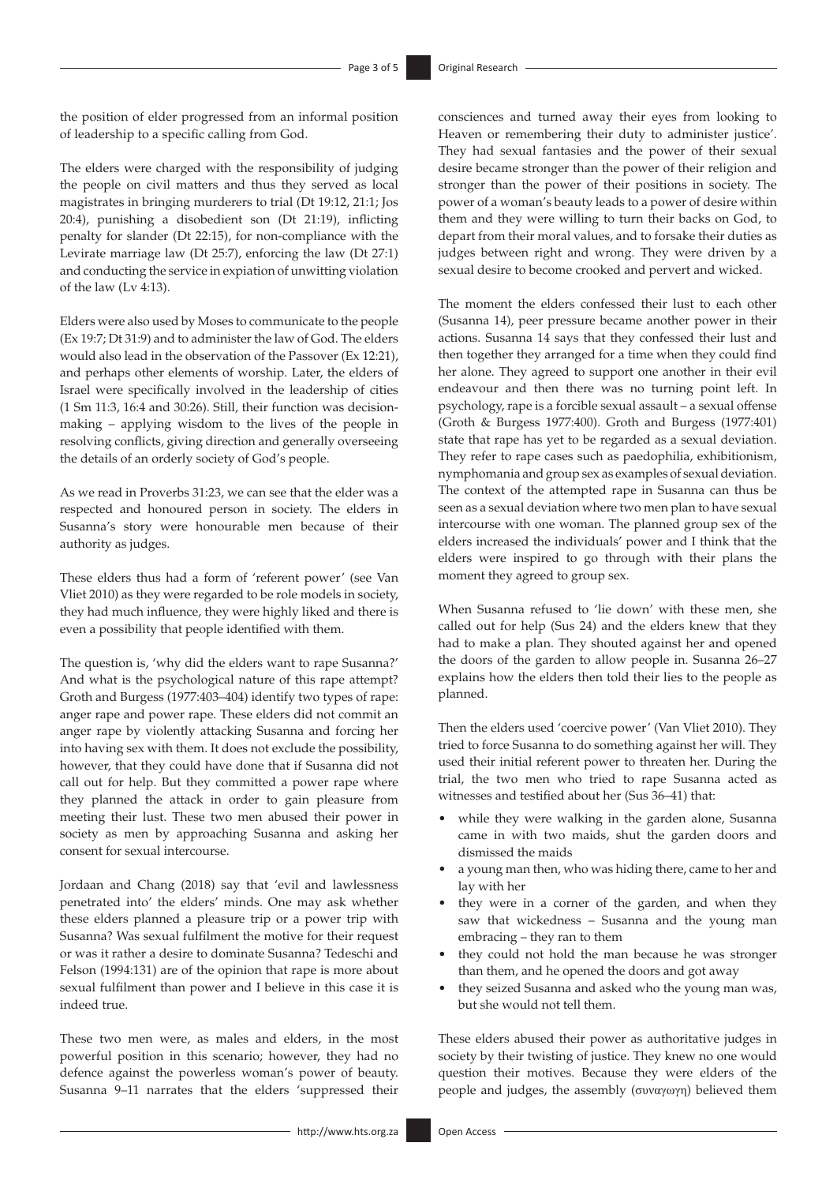the position of elder progressed from an informal position of leadership to a specific calling from God.

The elders were charged with the responsibility of judging the people on civil matters and thus they served as local magistrates in bringing murderers to trial (Dt 19:12, 21:1; Jos 20:4), punishing a disobedient son (Dt 21:19), inflicting penalty for slander (Dt 22:15), for non-compliance with the Levirate marriage law (Dt 25:7), enforcing the law (Dt 27:1) and conducting the service in expiation of unwitting violation of the law (Lv 4:13).

Elders were also used by Moses to communicate to the people (Ex 19:7; Dt 31:9) and to administer the law of God. The elders would also lead in the observation of the Passover (Ex 12:21), and perhaps other elements of worship. Later, the elders of Israel were specifically involved in the leadership of cities (1 Sm 11:3, 16:4 and 30:26). Still, their function was decisionmaking – applying wisdom to the lives of the people in resolving conflicts, giving direction and generally overseeing the details of an orderly society of God's people.

As we read in Proverbs 31:23, we can see that the elder was a respected and honoured person in society. The elders in Susanna's story were honourable men because of their authority as judges.

These elders thus had a form of 'referent power' (see Van Vliet 2010) as they were regarded to be role models in society, they had much influence, they were highly liked and there is even a possibility that people identified with them.

The question is, 'why did the elders want to rape Susanna?' And what is the psychological nature of this rape attempt? Groth and Burgess (1977:403–404) identify two types of rape: anger rape and power rape. These elders did not commit an anger rape by violently attacking Susanna and forcing her into having sex with them. It does not exclude the possibility, however, that they could have done that if Susanna did not call out for help. But they committed a power rape where they planned the attack in order to gain pleasure from meeting their lust. These two men abused their power in society as men by approaching Susanna and asking her consent for sexual intercourse.

Jordaan and Chang (2018) say that 'evil and lawlessness penetrated into' the elders' minds. One may ask whether these elders planned a pleasure trip or a power trip with Susanna? Was sexual fulfilment the motive for their request or was it rather a desire to dominate Susanna? Tedeschi and Felson (1994:131) are of the opinion that rape is more about sexual fulfilment than power and I believe in this case it is indeed true.

These two men were, as males and elders, in the most powerful position in this scenario; however, they had no defence against the powerless woman's power of beauty. Susanna 9–11 narrates that the elders 'suppressed their consciences and turned away their eyes from looking to Heaven or remembering their duty to administer justice'. They had sexual fantasies and the power of their sexual desire became stronger than the power of their religion and stronger than the power of their positions in society. The power of a woman's beauty leads to a power of desire within them and they were willing to turn their backs on God, to depart from their moral values, and to forsake their duties as judges between right and wrong. They were driven by a sexual desire to become crooked and pervert and wicked.

The moment the elders confessed their lust to each other (Susanna 14), peer pressure became another power in their actions. Susanna 14 says that they confessed their lust and then together they arranged for a time when they could find her alone. They agreed to support one another in their evil endeavour and then there was no turning point left. In psychology, rape is a forcible sexual assault – a sexual offense (Groth & Burgess 1977:400). Groth and Burgess (1977:401) state that rape has yet to be regarded as a sexual deviation. They refer to rape cases such as paedophilia, exhibitionism, nymphomania and group sex as examples of sexual deviation. The context of the attempted rape in Susanna can thus be seen as a sexual deviation where two men plan to have sexual intercourse with one woman. The planned group sex of the elders increased the individuals' power and I think that the elders were inspired to go through with their plans the moment they agreed to group sex.

When Susanna refused to 'lie down' with these men, she called out for help (Sus 24) and the elders knew that they had to make a plan. They shouted against her and opened the doors of the garden to allow people in. Susanna 26–27 explains how the elders then told their lies to the people as planned.

Then the elders used 'coercive power' (Van Vliet 2010). They tried to force Susanna to do something against her will. They used their initial referent power to threaten her. During the trial, the two men who tried to rape Susanna acted as witnesses and testified about her (Sus 36–41) that:

- while they were walking in the garden alone, Susanna came in with two maids, shut the garden doors and dismissed the maids
- a young man then, who was hiding there, came to her and lay with her
- they were in a corner of the garden, and when they saw that wickedness – Susanna and the young man embracing – they ran to them
- they could not hold the man because he was stronger than them, and he opened the doors and got away
- they seized Susanna and asked who the young man was, but she would not tell them.

These elders abused their power as authoritative judges in society by their twisting of justice. They knew no one would question their motives. Because they were elders of the people and judges, the assembly (συναγωγη) believed them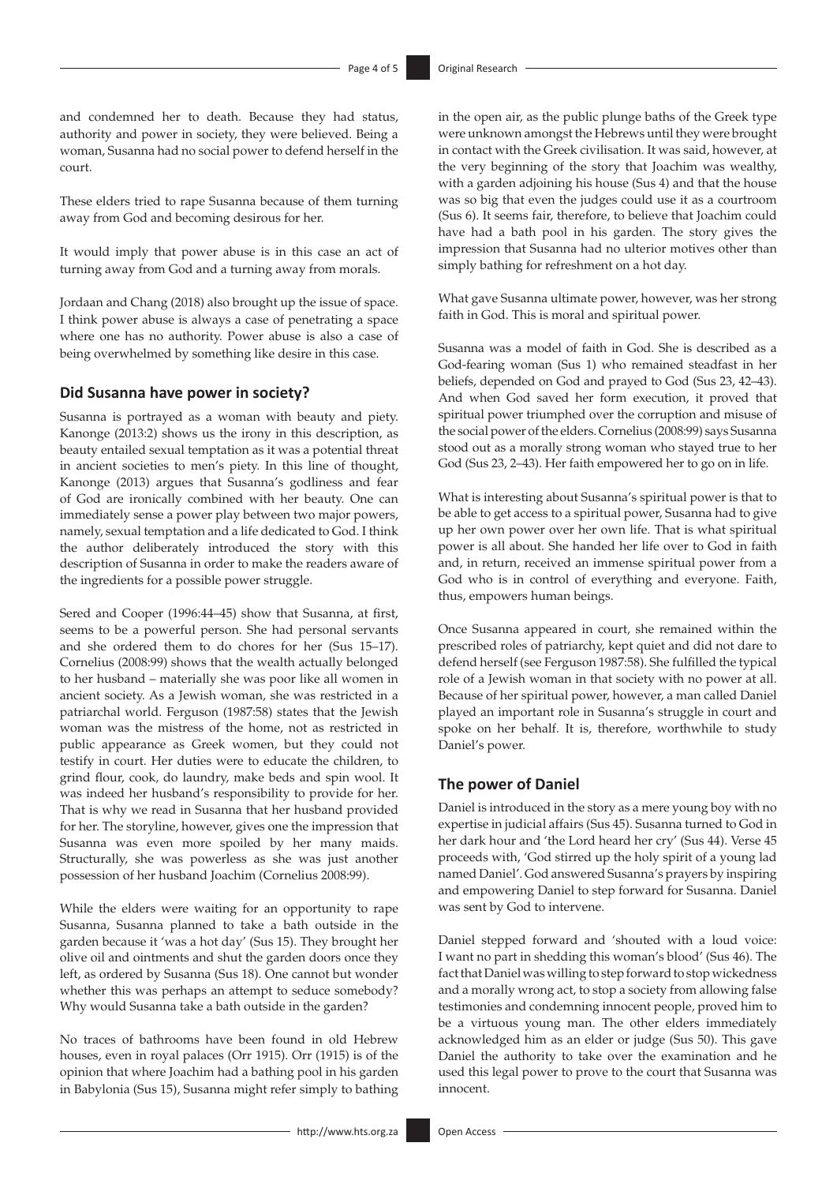and condemned her to death. Because they had status, authority and power in society, they were believed. Being a woman, Susanna had no social power to defend herself in the court.

These elders tried to rape Susanna because of them turning away from God and becoming desirous for her.

It would imply that power abuse is in this case an act of turning away from God and a turning away from morals.

Jordaan and Chang (2018) also brought up the issue of space. I think power abuse is always a case of penetrating a space where one has no authority. Power abuse is also a case of being overwhelmed by something like desire in this case.

#### **Did Susanna have power in society?**

Susanna is portrayed as a woman with beauty and piety. Kanonge (2013:2) shows us the irony in this description, as beauty entailed sexual temptation as it was a potential threat in ancient societies to men's piety. In this line of thought, Kanonge (2013) argues that Susanna's godliness and fear of God are ironically combined with her beauty. One can immediately sense a power play between two major powers, namely, sexual temptation and a life dedicated to God. I think the author deliberately introduced the story with this description of Susanna in order to make the readers aware of the ingredients for a possible power struggle.

Sered and Cooper (1996:44–45) show that Susanna, at first, seems to be a powerful person. She had personal servants and she ordered them to do chores for her (Sus 15–17). Cornelius (2008:99) shows that the wealth actually belonged to her husband – materially she was poor like all women in ancient society. As a Jewish woman, she was restricted in a patriarchal world. Ferguson (1987:58) states that the Jewish woman was the mistress of the home, not as restricted in public appearance as Greek women, but they could not testify in court. Her duties were to educate the children, to grind flour, cook, do laundry, make beds and spin wool. It was indeed her husband's responsibility to provide for her. That is why we read in Susanna that her husband provided for her. The storyline, however, gives one the impression that Susanna was even more spoiled by her many maids. Structurally, she was powerless as she was just another possession of her husband Joachim (Cornelius 2008:99).

While the elders were waiting for an opportunity to rape Susanna, Susanna planned to take a bath outside in the garden because it 'was a hot day' (Sus 15). They brought her olive oil and ointments and shut the garden doors once they left, as ordered by Susanna (Sus 18). One cannot but wonder whether this was perhaps an attempt to seduce somebody? Why would Susanna take a bath outside in the garden?

No traces of bathrooms have been found in old Hebrew houses, even in royal palaces (Orr 1915). Orr (1915) is of the opinion that where Joachim had a bathing pool in his garden in Babylonia (Sus 15), Susanna might refer simply to bathing

in the open air, as the public plunge baths of the Greek type were unknown amongst the Hebrews until they were brought in contact with the Greek civilisation. It was said, however, at the very beginning of the story that Joachim was wealthy, with a garden adjoining his house (Sus 4) and that the house was so big that even the judges could use it as a courtroom (Sus 6). It seems fair, therefore, to believe that Joachim could have had a bath pool in his garden. The story gives the impression that Susanna had no ulterior motives other than simply bathing for refreshment on a hot day.

What gave Susanna ultimate power, however, was her strong faith in God. This is moral and spiritual power.

Susanna was a model of faith in God. She is described as a God-fearing woman (Sus 1) who remained steadfast in her beliefs, depended on God and prayed to God (Sus 23, 42–43). And when God saved her form execution, it proved that spiritual power triumphed over the corruption and misuse of the social power of the elders. Cornelius (2008:99) says Susanna stood out as a morally strong woman who stayed true to her God (Sus 23, 2–43). Her faith empowered her to go on in life.

What is interesting about Susanna's spiritual power is that to be able to get access to a spiritual power, Susanna had to give up her own power over her own life. That is what spiritual power is all about. She handed her life over to God in faith and, in return, received an immense spiritual power from a God who is in control of everything and everyone. Faith, thus, empowers human beings.

Once Susanna appeared in court, she remained within the prescribed roles of patriarchy, kept quiet and did not dare to defend herself (see Ferguson 1987:58). She fulfilled the typical role of a Jewish woman in that society with no power at all. Because of her spiritual power, however, a man called Daniel played an important role in Susanna's struggle in court and spoke on her behalf. It is, therefore, worthwhile to study Daniel's power.

### **The power of Daniel**

Daniel is introduced in the story as a mere young boy with no expertise in judicial affairs (Sus 45). Susanna turned to God in her dark hour and 'the Lord heard her cry' (Sus 44). Verse 45 proceeds with, 'God stirred up the holy spirit of a young lad named Daniel'. God answered Susanna's prayers by inspiring and empowering Daniel to step forward for Susanna. Daniel was sent by God to intervene.

Daniel stepped forward and 'shouted with a loud voice: I want no part in shedding this woman's blood' (Sus 46). The fact that Daniel was willing to step forward to stop wickedness and a morally wrong act, to stop a society from allowing false testimonies and condemning innocent people, proved him to be a virtuous young man. The other elders immediately acknowledged him as an elder or judge (Sus 50). This gave Daniel the authority to take over the examination and he used this legal power to prove to the court that Susanna was innocent.